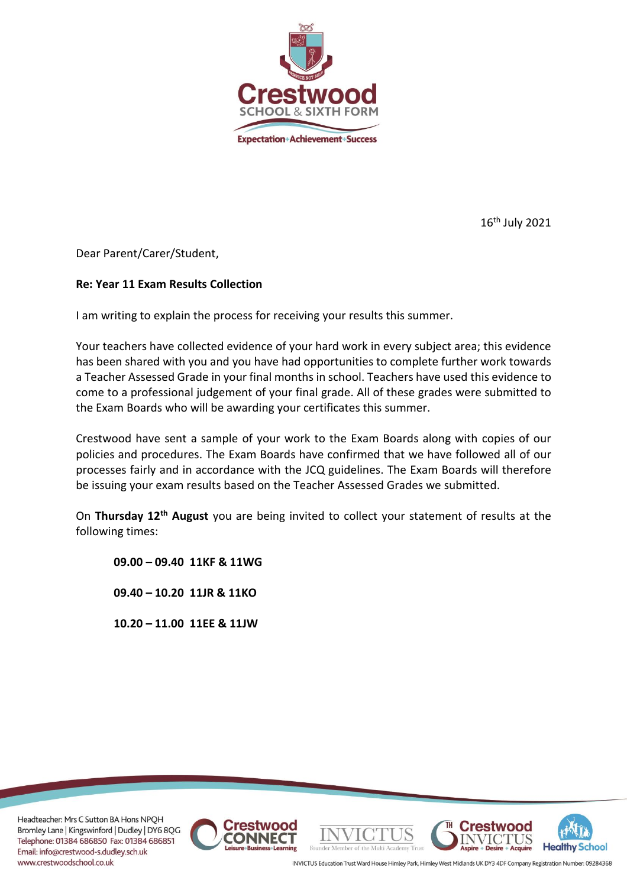

16 th July 2021

Dear Parent/Carer/Student,

# **Re: Year 11 Exam Results Collection**

I am writing to explain the process for receiving your results this summer.

Your teachers have collected evidence of your hard work in every subject area; this evidence has been shared with you and you have had opportunities to complete further work towards a Teacher Assessed Grade in your final months in school. Teachers have used this evidence to come to a professional judgement of your final grade. All of these grades were submitted to the Exam Boards who will be awarding your certificates this summer.

Crestwood have sent a sample of your work to the Exam Boards along with copies of our policies and procedures. The Exam Boards have confirmed that we have followed all of our processes fairly and in accordance with the JCQ guidelines. The Exam Boards will therefore be issuing your exam results based on the Teacher Assessed Grades we submitted.

On **Thursday 12th August** you are being invited to collect your statement of results at the following times:

**09.00 – 09.40 11KF & 11WG**

**09.40 – 10.20 11JR & 11KO**

**10.20 – 11.00 11EE & 11JW**

Headteacher: Mrs C Sutton BA Hons NPQH Bromley Lane | Kingswinford | Dudley | DY6 8QG Telephone: 01384 686850 Fax: 01384 686851 Email: info@crestwood-s.dudley.sch.uk www.crestwoodschool.co.uk





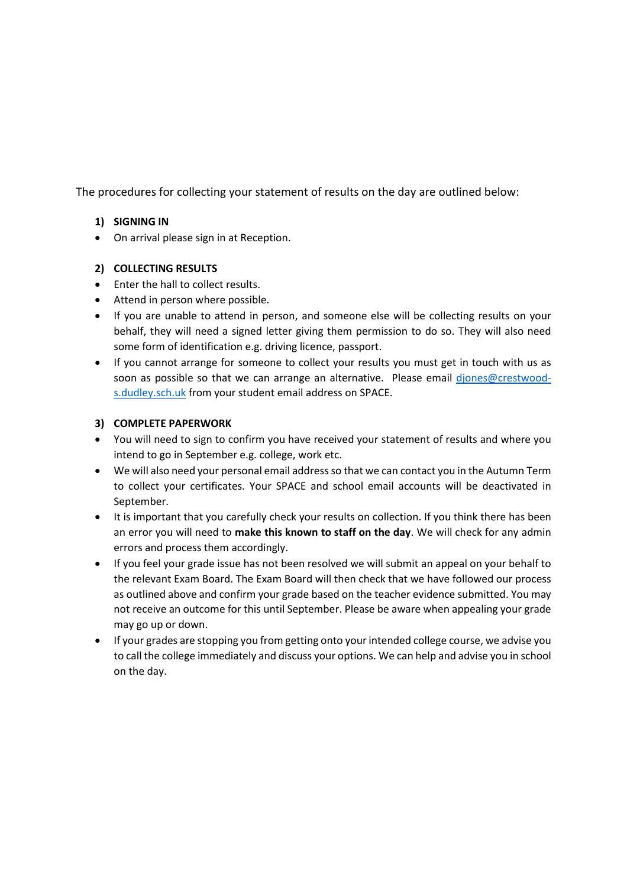The procedures for collecting your statement of results on the day are outlined below:

### **1) SIGNING IN**

• On arrival please sign in at Reception.

### **2) COLLECTING RESULTS**

- Enter the hall to collect results.
- Attend in person where possible.
- If you are unable to attend in person, and someone else will be collecting results on your behalf, they will need a signed letter giving them permission to do so. They will also need some form of identification e.g. driving licence, passport.
- If you cannot arrange for someone to collect your results you must get in touch with us as soon as possible so that we can arrange an alternative. Please email diones@crestwood[s.dudley.sch.uk](mailto:djones@crestwood-s.dudley.sch.uk) from your student email address on SPACE.

### **3) COMPLETE PAPERWORK**

- You will need to sign to confirm you have received your statement of results and where you intend to go in September e.g. college, work etc.
- We will also need your personal email address so that we can contact you in the Autumn Term to collect your certificates. Your SPACE and school email accounts will be deactivated in September.
- It is important that you carefully check your results on collection. If you think there has been an error you will need to **make this known to staff on the day**. We will check for any admin errors and process them accordingly.
- If you feel your grade issue has not been resolved we will submit an appeal on your behalf to the relevant Exam Board. The Exam Board will then check that we have followed our process as outlined above and confirm your grade based on the teacher evidence submitted. You may not receive an outcome for this until September. Please be aware when appealing your grade may go up or down.
- If your grades are stopping you from getting onto your intended college course, we advise you to call the college immediately and discuss your options. We can help and advise you in school on the day.